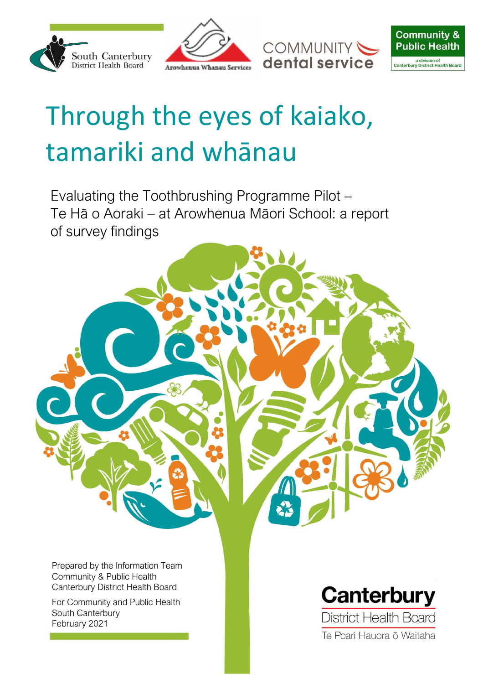





# <span id="page-0-0"></span>Through the eyes of kaiako, tamariki and whānau

Evaluating the Toothbrushing Programme Pilot – Te Hā o Aoraki – at Arowhenua Māori School: a report of survey findings

Prepared by the Information Team Community & Public Health Canterbury District Health Board

For Community and Public Health South Canterbury February 2021



Te Poari Hauora ō Waitaha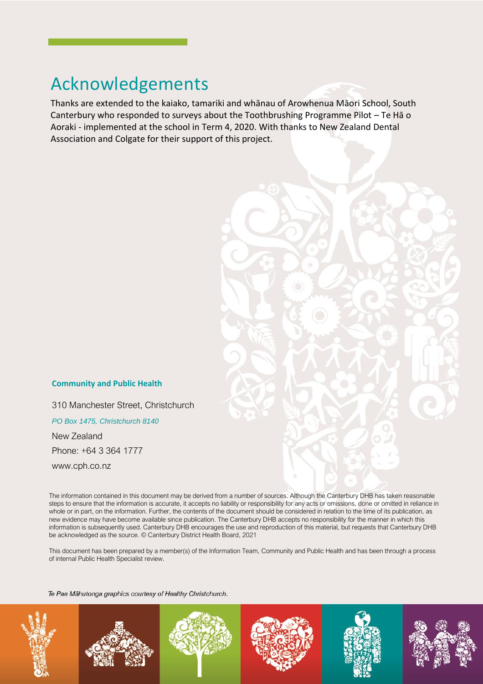### <span id="page-1-0"></span>Acknowledgements

Thanks are extended to the kaiako, tamariki and whānau of Arowhenua Māori School, South Canterbury who responded to surveys about the Toothbrushing Programme Pilot – Te Hā o Aoraki - implemented at the school in Term 4, 2020. With thanks to New Zealand Dental Association and Colgate for their support of this project.

#### **Community and Public Health**

310 Manchester Street, Christchurch

*PO Box 1475, Christchurch 8140*

New Zealand Phone: +64 3 364 1777

www.cph.co.nz

The information contained in this document may be derived from a number of sources. Although the Canterbury DHB has taken reasonable steps to ensure that the information is accurate, it accepts no liability or responsibility for any acts or omissions, done or omitted in reliance in whole or in part, on the information. Further, the contents of the document should be considered in relation to the time of its publication, as new evidence may have become available since publication. The Canterbury DHB accepts no responsibility for the manner in which this information is subsequently used. Canterbury DHB encourages the use and reproduction of this material, but requests that Canterbury DHB be acknowledged as the source. © Canterbury District Health Board, 2021

This document has been prepared by a member(s) of the Information Team, Community and Public Health and has been through a process of internal Public Health Specialist review.

Te Pae Mähutonga graphics courtesy of Healthy Christchurch.











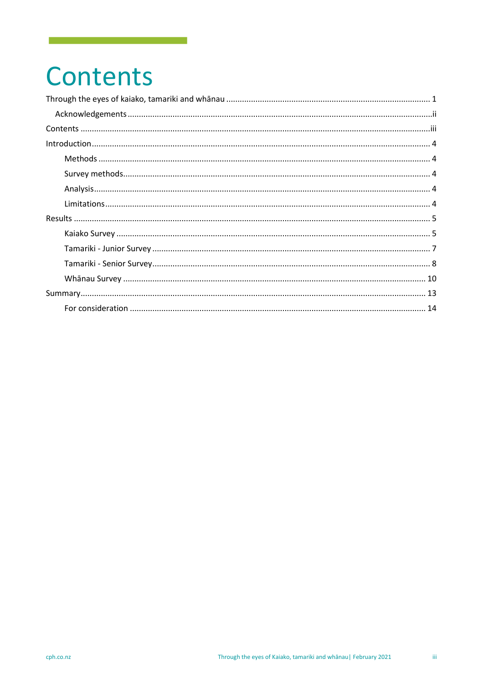## <span id="page-2-0"></span>Contents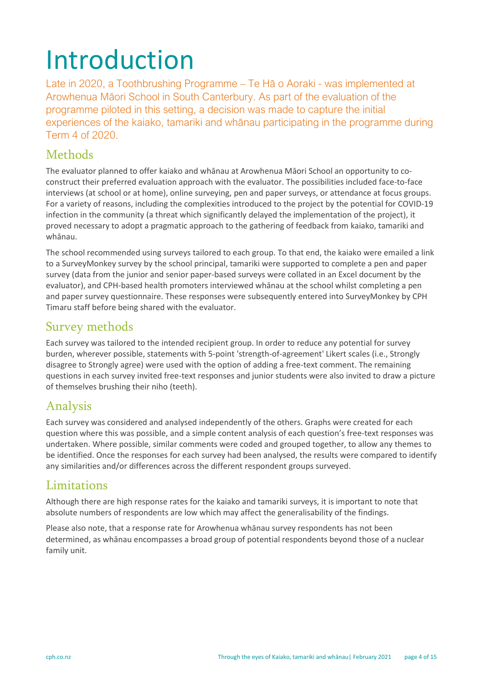# <span id="page-3-0"></span>Introduction

Late in 2020, a Toothbrushing Programme – Te Hā o Aoraki - was implemented at Arowhenua Māori School in South Canterbury. As part of the evaluation of the programme piloted in this setting, a decision was made to capture the initial experiences of the kaiako, tamariki and whānau participating in the programme during Term 4 of 2020.

### <span id="page-3-1"></span>Methods

The evaluator planned to offer kaiako and whānau at Arowhenua Māori School an opportunity to coconstruct their preferred evaluation approach with the evaluator. The possibilities included face-to-face interviews (at school or at home), online surveying, pen and paper surveys, or attendance at focus groups. For a variety of reasons, including the complexities introduced to the project by the potential for COVID-19 infection in the community (a threat which significantly delayed the implementation of the project), it proved necessary to adopt a pragmatic approach to the gathering of feedback from kaiako, tamariki and whānau.

The school recommended using surveys tailored to each group. To that end, the kaiako were emailed a link to a SurveyMonkey survey by the school principal, tamariki were supported to complete a pen and paper survey (data from the junior and senior paper-based surveys were collated in an Excel document by the evaluator), and CPH-based health promoters interviewed whānau at the school whilst completing a pen and paper survey questionnaire. These responses were subsequently entered into SurveyMonkey by CPH Timaru staff before being shared with the evaluator.

### <span id="page-3-2"></span>Survey methods

Each survey was tailored to the intended recipient group. In order to reduce any potential for survey burden, wherever possible, statements with 5-point 'strength-of-agreement' Likert scales (i.e., Strongly disagree to Strongly agree) were used with the option of adding a free-text comment. The remaining questions in each survey invited free-text responses and junior students were also invited to draw a picture of themselves brushing their niho (teeth).

### <span id="page-3-3"></span>Analysis

Each survey was considered and analysed independently of the others. Graphs were created for each question where this was possible, and a simple content analysis of each question's free-text responses was undertaken. Where possible, similar comments were coded and grouped together, to allow any themes to be identified. Once the responses for each survey had been analysed, the results were compared to identify any similarities and/or differences across the different respondent groups surveyed.

### <span id="page-3-4"></span>Limitations

Although there are high response rates for the kaiako and tamariki surveys, it is important to note that absolute numbers of respondents are low which may affect the generalisability of the findings.

Please also note, that a response rate for Arowhenua whānau survey respondents has not been determined, as whānau encompasses a broad group of potential respondents beyond those of a nuclear family unit.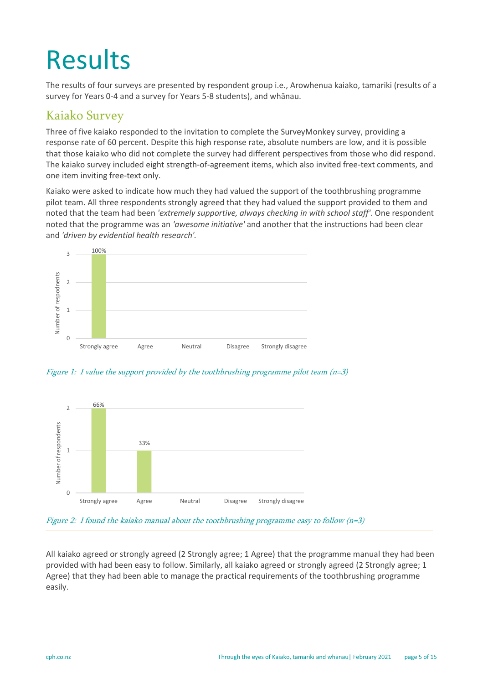# <span id="page-4-0"></span>Results

The results of four surveys are presented by respondent group i.e., Arowhenua kaiako, tamariki (results of a survey for Years 0-4 and a survey for Years 5-8 students), and whānau.

### <span id="page-4-1"></span>Kaiako Survey

Three of five kaiako responded to the invitation to complete the SurveyMonkey survey, providing a response rate of 60 percent. Despite this high response rate, absolute numbers are low, and it is possible that those kaiako who did not complete the survey had different perspectives from those who did respond. The kaiako survey included eight strength-of-agreement items, which also invited free-text comments, and one item inviting free-text only.

Kaiako were asked to indicate how much they had valued the support of the toothbrushing programme pilot team. All three respondents strongly agreed that they had valued the support provided to them and noted that the team had been *'extremely supportive, always checking in with school staff'*. One respondent noted that the programme was an *'awesome initiative'* and another that the instructions had been clear and *'driven by evidential health research'.* 



Figure 1: I value the support provided by the toothbrushing programme pilot team (n=3)



Figure 2: I found the kaiako manual about the toothbrushing programme easy to follow  $(n=3)$ 

All kaiako agreed or strongly agreed (2 Strongly agree; 1 Agree) that the programme manual they had been provided with had been easy to follow. Similarly, all kaiako agreed or strongly agreed (2 Strongly agree; 1 Agree) that they had been able to manage the practical requirements of the toothbrushing programme easily.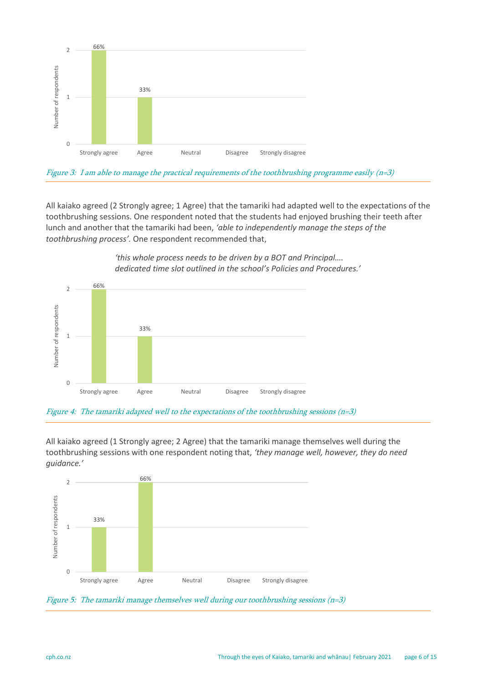

Figure 3: I am able to manage the practical requirements of the toothbrushing programme easily (n=3)

All kaiako agreed (2 Strongly agree; 1 Agree) that the tamariki had adapted well to the expectations of the toothbrushing sessions. One respondent noted that the students had enjoyed brushing their teeth after lunch and another that the tamariki had been, *'able to independently manage the steps of the toothbrushing process'.* One respondent recommended that,

> *'this whole process needs to be driven by a BOT and Principal…. dedicated time slot outlined in the school's Policies and Procedures.'*



Figure 4: The tamariki adapted well to the expectations of the toothbrushing sessions (n=3)

All kaiako agreed (1 Strongly agree; 2 Agree) that the tamariki manage themselves well during the toothbrushing sessions with one respondent noting that, *'they manage well, however, they do need guidance.'*



Figure 5: The tamariki manage themselves well during our toothbrushing sessions (n=3)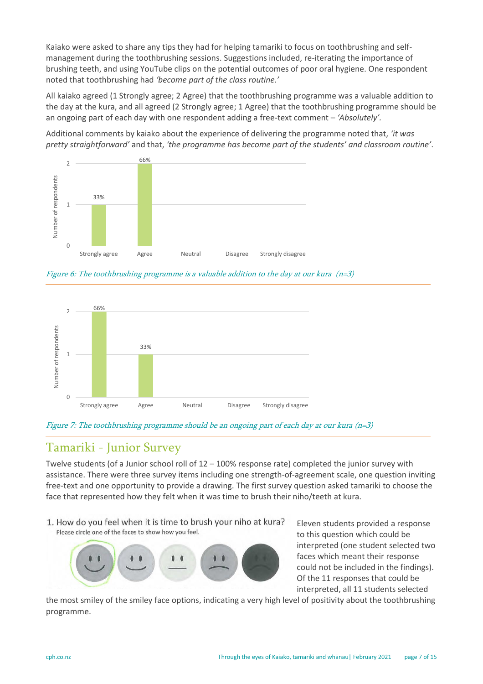Kaiako were asked to share any tips they had for helping tamariki to focus on toothbrushing and selfmanagement during the toothbrushing sessions. Suggestions included, re-iterating the importance of brushing teeth, and using YouTube clips on the potential outcomes of poor oral hygiene. One respondent noted that toothbrushing had *'become part of the class routine.'*

All kaiako agreed (1 Strongly agree; 2 Agree) that the toothbrushing programme was a valuable addition to the day at the kura, and all agreed (2 Strongly agree; 1 Agree) that the toothbrushing programme should be an ongoing part of each day with one respondent adding a free-text comment – *'Absolutely'.*

Additional comments by kaiako about the experience of delivering the programme noted that, *'it was pretty straightforward'* and that, *'the programme has become part of the students' and classroom routine'*.



Figure 6: The toothbrushing programme is a valuable addition to the day at our kura (n=3)





### <span id="page-6-0"></span>Tamariki - Junior Survey

Twelve students (of a Junior school roll of 12 – 100% response rate) completed the junior survey with assistance. There were three survey items including one strength-of-agreement scale, one question inviting free-text and one opportunity to provide a drawing. The first survey question asked tamariki to choose the face that represented how they felt when it was time to brush their niho/teeth at kura.

1. How do you feel when it is time to brush your niho at kura? Please circle one of the faces to show how you feel.



Eleven students provided a response to this question which could be interpreted (one student selected two faces which meant their response could not be included in the findings). Of the 11 responses that could be interpreted, all 11 students selected

the most smiley of the smiley face options, indicating a very high level of positivity about the toothbrushing programme.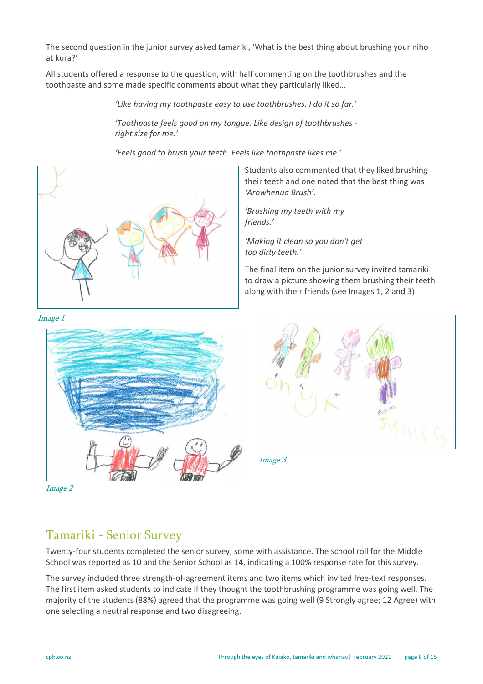The second question in the junior survey asked tamariki, 'What is the best thing about brushing your niho at kura?'

All students offered a response to the question, with half commenting on the toothbrushes and the toothpaste and some made specific comments about what they particularly liked…

*'Like having my toothpaste easy to use toothbrushes. I do it so far.'*

*'Toothpaste feels good on my tongue. Like design of toothbrushes right size for me.'*

*'Feels good to brush your teeth. Feels like toothpaste likes me.'*



Students also commented that they liked brushing their teeth and one noted that the best thing was *'Arowhenua Brush'*.

*'Brushing my teeth with my friends.'*

*'Making it clean so you don't get too dirty teeth.'*

The final item on the junior survey invited tamariki to draw a picture showing them brushing their teeth along with their friends (see Images 1, 2 and 3)



Image 2

<span id="page-7-0"></span>Image 3

### Tamariki - Senior Survey

Twenty-four students completed the senior survey, some with assistance. The school roll for the Middle School was reported as 10 and the Senior School as 14, indicating a 100% response rate for this survey.

The survey included three strength-of-agreement items and two items which invited free-text responses. The first item asked students to indicate if they thought the toothbrushing programme was going well. The majority of the students (88%) agreed that the programme was going well (9 Strongly agree; 12 Agree) with one selecting a neutral response and two disagreeing.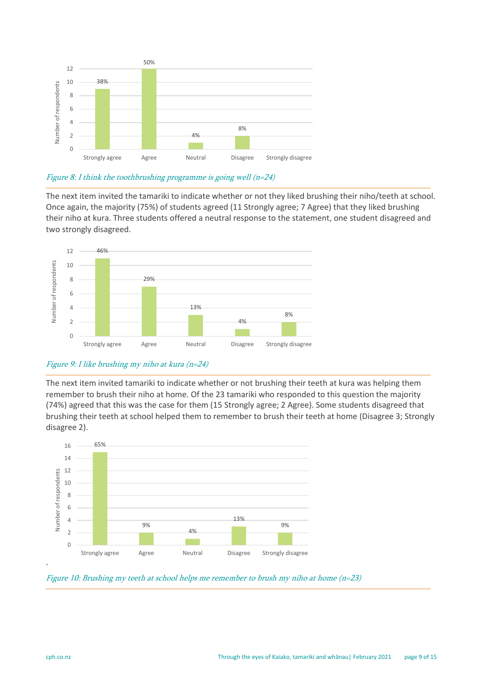

#### Figure 8: I think the toothbrushing programme is going well  $(n=24)$

The next item invited the tamariki to indicate whether or not they liked brushing their niho/teeth at school. Once again, the majority (75%) of students agreed (11 Strongly agree; 7 Agree) that they liked brushing their niho at kura. Three students offered a neutral response to the statement, one student disagreed and two strongly disagreed.



#### Figure 9: I like brushing my niho at kura (n=24)

The next item invited tamariki to indicate whether or not brushing their teeth at kura was helping them remember to brush their niho at home. Of the 23 tamariki who responded to this question the majority (74%) agreed that this was the case for them (15 Strongly agree; 2 Agree). Some students disagreed that brushing their teeth at school helped them to remember to brush their teeth at home (Disagree 3; Strongly disagree 2).



Figure 10: Brushing my teeth at school helps me remember to brush my niho at home (n=23)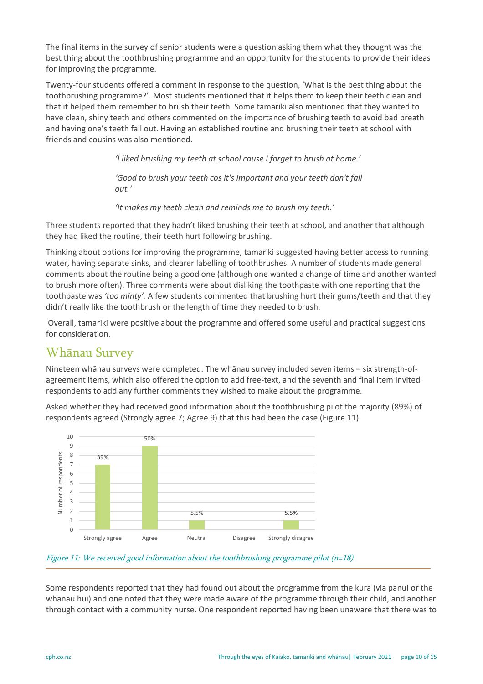The final items in the survey of senior students were a question asking them what they thought was the best thing about the toothbrushing programme and an opportunity for the students to provide their ideas for improving the programme.

Twenty-four students offered a comment in response to the question, 'What is the best thing about the toothbrushing programme?'. Most students mentioned that it helps them to keep their teeth clean and that it helped them remember to brush their teeth. Some tamariki also mentioned that they wanted to have clean, shiny teeth and others commented on the importance of brushing teeth to avoid bad breath and having one's teeth fall out. Having an established routine and brushing their teeth at school with friends and cousins was also mentioned.

*'I liked brushing my teeth at school cause I forget to brush at home.'*

*'Good to brush your teeth cos it's important and your teeth don't fall out.'*

*'It makes my teeth clean and reminds me to brush my teeth.'*

Three students reported that they hadn't liked brushing their teeth at school, and another that although they had liked the routine, their teeth hurt following brushing.

Thinking about options for improving the programme, tamariki suggested having better access to running water, having separate sinks, and clearer labelling of toothbrushes. A number of students made general comments about the routine being a good one (although one wanted a change of time and another wanted to brush more often). Three comments were about disliking the toothpaste with one reporting that the toothpaste was *'too minty'.* A few students commented that brushing hurt their gums/teeth and that they didn't really like the toothbrush or the length of time they needed to brush.

Overall, tamariki were positive about the programme and offered some useful and practical suggestions for consideration.

### <span id="page-9-0"></span>Whānau Survey

Nineteen whānau surveys were completed. The whānau survey included seven items – six strength-ofagreement items, which also offered the option to add free-text, and the seventh and final item invited respondents to add any further comments they wished to make about the programme.

Asked whether they had received good information about the toothbrushing pilot the majority (89%) of respondents agreed (Strongly agree 7; Agree 9) that this had been the case (Figure 11).





Some respondents reported that they had found out about the programme from the kura (via panui or the whānau hui) and one noted that they were made aware of the programme through their child, and another through contact with a community nurse. One respondent reported having been unaware that there was to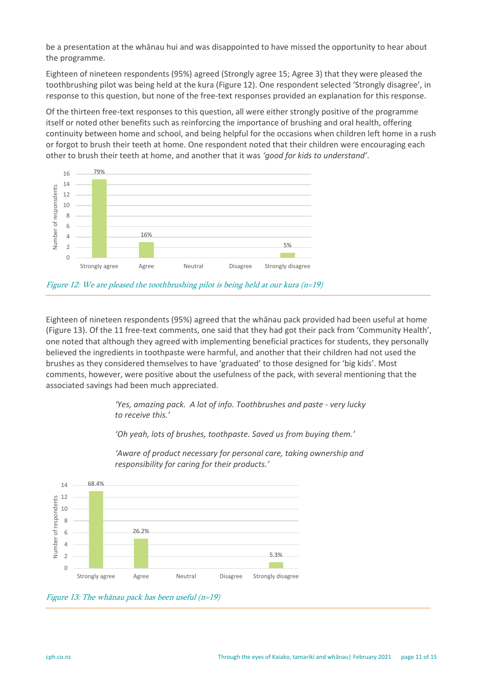be a presentation at the whānau hui and was disappointed to have missed the opportunity to hear about the programme.

Eighteen of nineteen respondents (95%) agreed (Strongly agree 15; Agree 3) that they were pleased the toothbrushing pilot was being held at the kura (Figure 12). One respondent selected 'Strongly disagree', in response to this question, but none of the free-text responses provided an explanation for this response.

Of the thirteen free-text responses to this question, all were either strongly positive of the programme itself or noted other benefits such as reinforcing the importance of brushing and oral health, offering continuity between home and school, and being helpful for the occasions when children left home in a rush or forgot to brush their teeth at home. One respondent noted that their children were encouraging each other to brush their teeth at home, and another that it was *'good for kids to understand'*.





Eighteen of nineteen respondents (95%) agreed that the whānau pack provided had been useful at home (Figure 13). Of the 11 free-text comments, one said that they had got their pack from 'Community Health', one noted that although they agreed with implementing beneficial practices for students, they personally believed the ingredients in toothpaste were harmful, and another that their children had not used the brushes as they considered themselves to have 'graduated' to those designed for 'big kids'. Most comments, however, were positive about the usefulness of the pack, with several mentioning that the associated savings had been much appreciated.

> *'Yes, amazing pack. A lot of info. Toothbrushes and paste - very lucky to receive this.'*

*'Oh yeah, lots of brushes, toothpaste. Saved us from buying them.'*



*'Aware of product necessary for personal care, taking ownership and responsibility for caring for their products.'*

Figure 13: The whānau pack has been useful (n=19)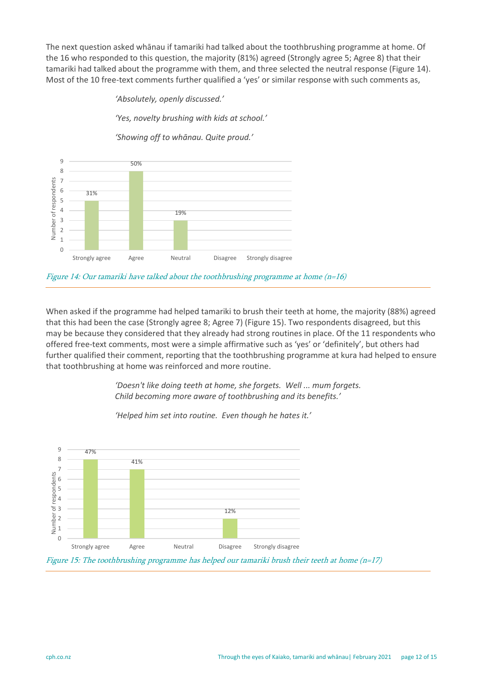The next question asked whānau if tamariki had talked about the toothbrushing programme at home. Of the 16 who responded to this question, the majority (81%) agreed (Strongly agree 5; Agree 8) that their tamariki had talked about the programme with them, and three selected the neutral response (Figure 14). Most of the 10 free-text comments further qualified a 'yes' or similar response with such comments as,

*'Absolutely, openly discussed.'*

*'Yes, novelty brushing with kids at school.'*

*'Showing off to whānau. Quite proud.'*



Figure 14: Our tamariki have talked about the toothbrushing programme at home  $(n=16)$ 

When asked if the programme had helped tamariki to brush their teeth at home, the majority (88%) agreed that this had been the case (Strongly agree 8; Agree 7) (Figure 15). Two respondents disagreed, but this may be because they considered that they already had strong routines in place. Of the 11 respondents who offered free-text comments, most were a simple affirmative such as 'yes' or 'definitely', but others had further qualified their comment, reporting that the toothbrushing programme at kura had helped to ensure that toothbrushing at home was reinforced and more routine.

> *'Doesn't like doing teeth at home, she forgets. Well ... mum forgets. Child becoming more aware of toothbrushing and its benefits.'*



*'Helped him set into routine. Even though he hates it.'*

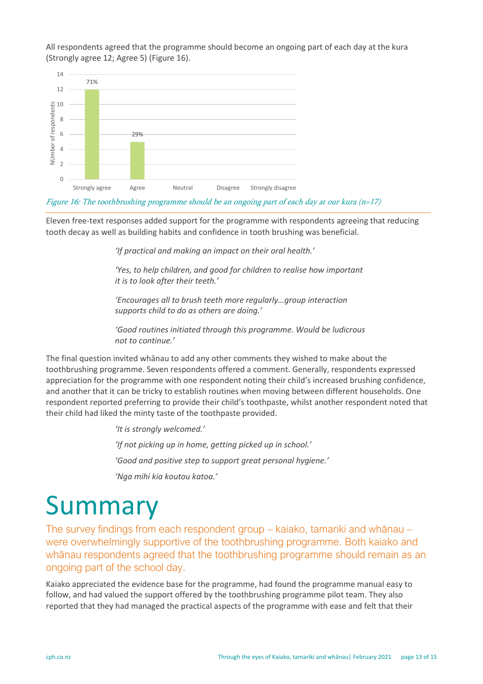All respondents agreed that the programme should become an ongoing part of each day at the kura (Strongly agree 12; Agree 5) (Figure 16).



Figure 16: The toothbrushing programme should be an ongoing part of each day at our kura (n=17)

Eleven free-text responses added support for the programme with respondents agreeing that reducing tooth decay as well as building habits and confidence in tooth brushing was beneficial.

*'If practical and making an impact on their oral health.'*

*'Yes, to help children, and good for children to realise how important it is to look after their teeth.'*

*'Encourages all to brush teeth more regularly…group interaction supports child to do as others are doing.'*

*'Good routines initiated through this programme. Would be ludicrous not to continue.'*

The final question invited whānau to add any other comments they wished to make about the toothbrushing programme. Seven respondents offered a comment. Generally, respondents expressed appreciation for the programme with one respondent noting their child's increased brushing confidence, and another that it can be tricky to establish routines when moving between different households. One respondent reported preferring to provide their child's toothpaste, whilst another respondent noted that their child had liked the minty taste of the toothpaste provided.

> *'It is strongly welcomed.' 'If not picking up in home, getting picked up in school.' 'Good and positive step to support great personal hygiene.' 'Nga mihi kia koutou katoa.'*

## <span id="page-12-0"></span>Summary

The survey findings from each respondent group – kaiako, tamariki and whānau – were overwhelmingly supportive of the toothbrushing programme. Both kaiako and whānau respondents agreed that the toothbrushing programme should remain as an ongoing part of the school day.

Kaiako appreciated the evidence base for the programme, had found the programme manual easy to follow, and had valued the support offered by the toothbrushing programme pilot team. They also reported that they had managed the practical aspects of the programme with ease and felt that their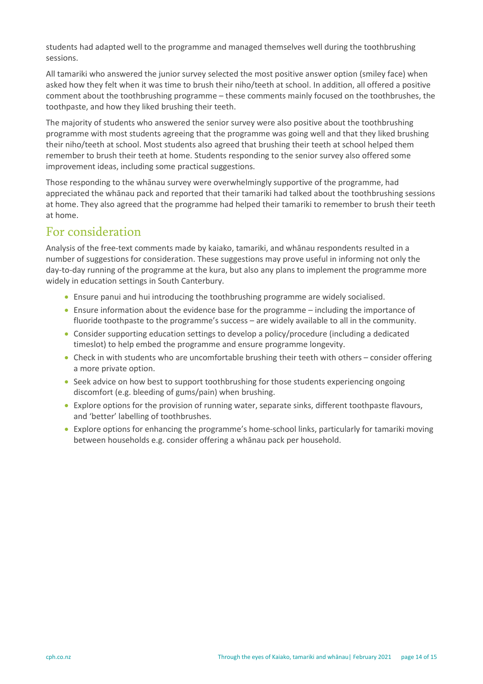students had adapted well to the programme and managed themselves well during the toothbrushing sessions.

All tamariki who answered the junior survey selected the most positive answer option (smiley face) when asked how they felt when it was time to brush their niho/teeth at school. In addition, all offered a positive comment about the toothbrushing programme – these comments mainly focused on the toothbrushes, the toothpaste, and how they liked brushing their teeth.

The majority of students who answered the senior survey were also positive about the toothbrushing programme with most students agreeing that the programme was going well and that they liked brushing their niho/teeth at school. Most students also agreed that brushing their teeth at school helped them remember to brush their teeth at home. Students responding to the senior survey also offered some improvement ideas, including some practical suggestions.

Those responding to the whānau survey were overwhelmingly supportive of the programme, had appreciated the whānau pack and reported that their tamariki had talked about the toothbrushing sessions at home. They also agreed that the programme had helped their tamariki to remember to brush their teeth at home.

### <span id="page-13-0"></span>For consideration

Analysis of the free-text comments made by kaiako, tamariki, and whānau respondents resulted in a number of suggestions for consideration. These suggestions may prove useful in informing not only the day-to-day running of the programme at the kura, but also any plans to implement the programme more widely in education settings in South Canterbury.

- Ensure panui and hui introducing the toothbrushing programme are widely socialised.
- Ensure information about the evidence base for the programme including the importance of fluoride toothpaste to the programme's success – are widely available to all in the community.
- Consider supporting education settings to develop a policy/procedure (including a dedicated timeslot) to help embed the programme and ensure programme longevity.
- Check in with students who are uncomfortable brushing their teeth with others consider offering a more private option.
- Seek advice on how best to support toothbrushing for those students experiencing ongoing discomfort (e.g. bleeding of gums/pain) when brushing.
- Explore options for the provision of running water, separate sinks, different toothpaste flavours, and 'better' labelling of toothbrushes.
- Explore options for enhancing the programme's home-school links, particularly for tamariki moving between households e.g. consider offering a whānau pack per household.